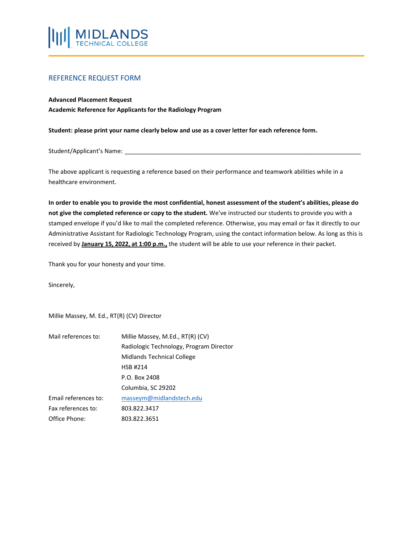

## REFERENCE REQUEST FORM

#### **Advanced Placement Request**

**Academic Reference for Applicants for the Radiology Program**

**Student: please print your name clearly below and use as a cover letter for each reference form.**

Student/Applicant's Name:

The above applicant is requesting a reference based on their performance and teamwork abilities while in a healthcare environment.

**In order to enable you to provide the most confidential, honest assessment of the student's abilities, please do not give the completed reference or copy to the student.** We've instructed our students to provide you with a stamped envelope if you'd like to mail the completed reference. Otherwise, you may email or fax it directly to our Administrative Assistant for Radiologic Technology Program, using the contact information below. As long as this is received by **January 15, 2022, at 1:00 p.m.,** the student will be able to use your reference in their packet.

Thank you for your honesty and your time.

Sincerely,

Millie Massey, M. Ed., RT(R) (CV) Director

| Mail references to:  | Millie Massey, M.Ed., RT(R) (CV)        |  |  |
|----------------------|-----------------------------------------|--|--|
|                      | Radiologic Technology, Program Director |  |  |
|                      | Midlands Technical College              |  |  |
|                      | <b>HSB #214</b>                         |  |  |
|                      | P.O. Box 2408                           |  |  |
|                      | Columbia, SC 29202                      |  |  |
| Email references to: | masseym@midlandstech.edu                |  |  |
| Fax references to:   | 803.822.3417                            |  |  |
| Office Phone:        | 803.822.3651                            |  |  |
|                      |                                         |  |  |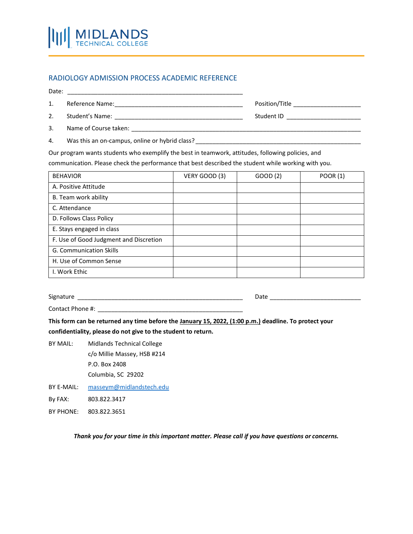# RADIOLOGY ADMISSION PROCESS ACADEMIC REFERENCE

Date: \_\_\_\_\_\_\_\_\_\_\_\_\_\_\_\_\_\_\_\_\_\_\_\_\_\_\_\_\_\_\_\_\_\_\_\_\_\_\_\_\_\_\_\_\_\_\_\_\_\_\_\_

 $\mathsf{\Pi}$ 

1. Reference Name:\_\_\_\_\_\_\_\_\_\_\_\_\_\_\_\_\_\_\_\_\_\_\_\_\_\_\_\_\_\_\_\_\_\_\_\_\_\_ Position/Title \_\_\_\_\_\_\_\_\_\_\_\_\_\_\_\_\_\_\_\_

**MIDLANDS**<br>TECHNICAL COLLEGE

- 2. Student's Name: \_\_\_\_\_\_\_\_\_\_\_\_\_\_\_\_\_\_\_\_\_\_\_\_\_\_\_\_\_\_\_\_\_\_\_\_\_\_ Student ID \_\_\_\_\_\_\_\_\_\_\_\_\_\_\_\_\_\_\_\_\_\_
- 3. Name of Course taken: \_\_\_\_\_\_\_\_\_\_\_\_\_\_\_\_\_\_\_\_\_\_\_\_\_\_\_\_\_\_\_\_\_\_\_\_\_\_\_\_\_\_\_\_\_\_\_\_\_\_\_\_\_\_\_\_\_\_\_\_\_\_\_\_\_\_\_\_
- 4. Was this an on-campus, online or hybrid class?

Our program wants students who exemplify the best in teamwork, attitudes, following policies, and

communication. Please check the performance that best described the student while working with you.

| <b>BEHAVIOR</b>                        | VERY GOOD (3) | GOOD (2) | <b>POOR (1)</b> |
|----------------------------------------|---------------|----------|-----------------|
| A. Positive Attitude                   |               |          |                 |
| B. Team work ability                   |               |          |                 |
| C. Attendance                          |               |          |                 |
| D. Follows Class Policy                |               |          |                 |
| E. Stays engaged in class              |               |          |                 |
| F. Use of Good Judgment and Discretion |               |          |                 |
| G. Communication Skills                |               |          |                 |
| H. Use of Common Sense                 |               |          |                 |
| I. Work Ethic                          |               |          |                 |

Signature \_\_\_\_\_\_\_\_\_\_\_\_\_\_\_\_\_\_\_\_\_\_\_\_\_\_\_\_\_\_\_\_\_\_\_\_\_\_\_\_\_\_\_\_\_\_\_\_\_ Date \_\_\_\_\_\_\_\_\_\_\_\_\_\_\_\_\_\_\_\_\_\_\_\_\_\_\_

Contact Phone #: \_\_\_\_\_\_\_\_\_\_\_\_\_\_\_\_\_\_\_\_\_\_\_\_\_\_\_\_\_\_\_\_\_\_\_\_\_\_\_\_\_\_\_

**This form can be returned any time before the January 15, 2022, (1:00 p.m.) deadline. To protect your confidentiality, please do not give to the student to return.**

- BY MAIL: Midlands Technical College c/o Millie Massey, HSB #214 P.O. Box 2408 Columbia, SC 29202
- BY E-MAIL: [masseym@midlandstech.edu](mailto:masseym@midlandstech.edu) By FAX: 803.822.3417
- BY PHONE: 803.822.3651

*Thank you for your time in this important matter. Please call if you have questions or concerns.*

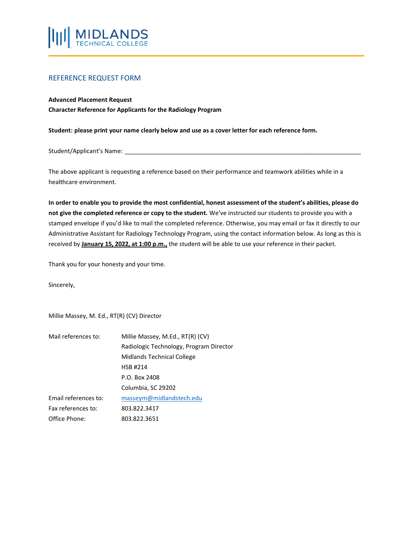

## REFERENCE REQUEST FORM

#### **Advanced Placement Request**

**Character Reference for Applicants for the Radiology Program**

**Student: please print your name clearly below and use as a cover letter for each reference form.**

Student/Applicant's Name:

The above applicant is requesting a reference based on their performance and teamwork abilities while in a healthcare environment.

**In order to enable you to provide the most confidential, honest assessment of the student's abilities, please do not give the completed reference or copy to the student.** We've instructed our students to provide you with a stamped envelope if you'd like to mail the completed reference. Otherwise, you may email or fax it directly to our Administrative Assistant for Radiology Technology Program, using the contact information below. As long as this is received by **January 15, 2022, at 1:00 p.m.,** the student will be able to use your reference in their packet.

Thank you for your honesty and your time.

Sincerely,

Millie Massey, M. Ed., RT(R) (CV) Director

| Mail references to:  | Millie Massey, M.Ed., RT(R) (CV)        |  |  |
|----------------------|-----------------------------------------|--|--|
|                      | Radiologic Technology, Program Director |  |  |
|                      | Midlands Technical College              |  |  |
|                      | <b>HSB #214</b>                         |  |  |
|                      | P.O. Box 2408                           |  |  |
|                      | Columbia, SC 29202                      |  |  |
| Email references to: | masseym@midlandstech.edu                |  |  |
| Fax references to:   | 803.822.3417                            |  |  |
| Office Phone:        | 803.822.3651                            |  |  |
|                      |                                         |  |  |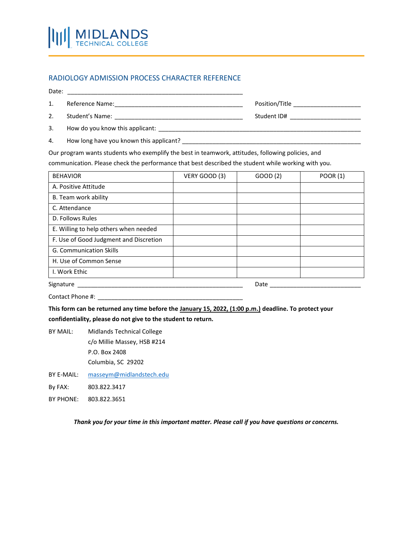## RADIOLOGY ADMISSION PROCESS CHARACTER REFERENCE

Date: \_\_\_\_\_\_\_\_\_\_\_\_\_\_\_\_\_\_\_\_\_\_\_\_\_\_\_\_\_\_\_\_\_\_\_\_\_\_\_\_\_\_\_\_\_\_\_\_\_\_\_\_

MI

- 1. Reference Name:\_\_\_\_\_\_\_\_\_\_\_\_\_\_\_\_\_\_\_\_\_\_\_\_\_\_\_\_\_\_\_\_\_\_\_\_\_\_ Position/Title \_\_\_\_\_\_\_\_\_\_\_\_\_\_\_\_\_\_\_\_
- 2. Student's Name: \_\_\_\_\_\_\_\_\_\_\_\_\_\_\_\_\_\_\_\_\_\_\_\_\_\_\_\_\_\_\_\_\_\_\_\_\_\_ Student ID# \_\_\_\_\_\_\_\_\_\_\_\_\_\_\_\_\_\_\_\_\_
- 3. How do you know this applicant: \_\_\_\_\_\_\_\_\_\_\_\_\_\_\_\_\_\_\_\_\_\_\_\_\_\_\_\_\_\_\_\_\_\_\_\_\_\_\_\_\_\_\_\_\_\_\_\_\_\_\_\_\_\_\_\_\_\_\_\_
- 4. How long have you known this applicant? \_\_\_\_\_\_\_\_\_\_\_\_\_\_\_\_\_\_\_\_\_\_\_\_\_\_\_\_\_\_\_\_\_\_\_\_\_\_\_\_\_\_\_\_\_\_\_\_\_\_\_\_\_

**MIDLANDS**<br>TECHNICAL COLLEGE

Our program wants students who exemplify the best in teamwork, attitudes, following policies, and

communication. Please check the performance that best described the student while working with you.

| <b>BEHAVIOR</b>                        | VERY GOOD (3) | GOOD (2) | <b>POOR (1)</b> |
|----------------------------------------|---------------|----------|-----------------|
| A. Positive Attitude                   |               |          |                 |
| B. Team work ability                   |               |          |                 |
| C. Attendance                          |               |          |                 |
| D. Follows Rules                       |               |          |                 |
| E. Willing to help others when needed  |               |          |                 |
| F. Use of Good Judgment and Discretion |               |          |                 |
| <b>G. Communication Skills</b>         |               |          |                 |
| H. Use of Common Sense                 |               |          |                 |
| I. Work Ethic                          |               |          |                 |
| Signature<br>Date                      |               |          |                 |

Contact Phone #: \_\_\_\_\_\_\_\_\_\_\_\_\_\_\_\_\_\_\_\_\_\_\_\_\_\_\_\_\_\_\_\_\_\_\_\_\_\_\_\_\_\_\_

**This form can be returned any time before the January 15, 2022, (1:00 p.m.) deadline. To protect your confidentiality, please do not give to the student to return.**

BY MAIL: Midlands Technical College c/o Millie Massey, HSB #214 P.O. Box 2408 Columbia, SC 29202

- BY E-MAIL: [masseym@midlandstech.edu](mailto:masseym@midlandstech.edu)
- By FAX: 803.822.3417
- BY PHONE: 803.822.3651

*Thank you for your time in this important matter. Please call if you have questions or concerns.*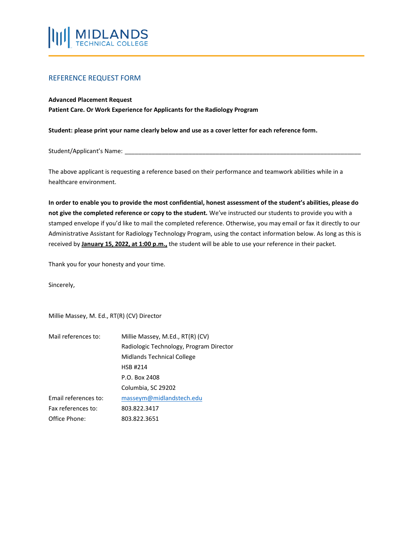

## REFERENCE REQUEST FORM

#### **Advanced Placement Request**

**Patient Care. Or Work Experience for Applicants for the Radiology Program**

**Student: please print your name clearly below and use as a cover letter for each reference form.**

Student/Applicant's Name:

The above applicant is requesting a reference based on their performance and teamwork abilities while in a healthcare environment.

**In order to enable you to provide the most confidential, honest assessment of the student's abilities, please do not give the completed reference or copy to the student.** We've instructed our students to provide you with a stamped envelope if you'd like to mail the completed reference. Otherwise, you may email or fax it directly to our Administrative Assistant for Radiology Technology Program, using the contact information below. As long as this is received by **January 15, 2022, at 1:00 p.m.,** the student will be able to use your reference in their packet.

Thank you for your honesty and your time.

Sincerely,

Millie Massey, M. Ed., RT(R) (CV) Director

| Mail references to:  | Millie Massey, M.Ed., RT(R) (CV)        |  |  |
|----------------------|-----------------------------------------|--|--|
|                      | Radiologic Technology, Program Director |  |  |
|                      | Midlands Technical College              |  |  |
|                      | <b>HSB #214</b>                         |  |  |
|                      | P.O. Box 2408                           |  |  |
|                      | Columbia, SC 29202                      |  |  |
| Email references to: | masseym@midlandstech.edu                |  |  |
| Fax references to:   | 803.822.3417                            |  |  |
| Office Phone:        | 803.822.3651                            |  |  |
|                      |                                         |  |  |